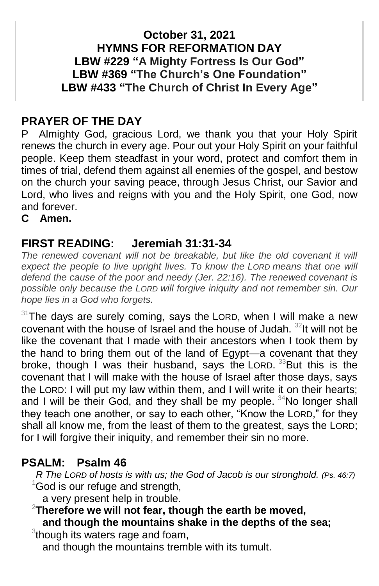#### **October 31, 2021 HYMNS FOR REFORMATION DAY LBW #229 "A Mighty Fortress Is Our God" LBW #369 "The Church's One Foundation" LBW #433 "The Church of Christ In Every Age"**

## **PRAYER OF THE DAY**

P Almighty God, gracious Lord, we thank you that your Holy Spirit renews the church in every age. Pour out your Holy Spirit on your faithful people. Keep them steadfast in your word, protect and comfort them in times of trial, defend them against all enemies of the gospel, and bestow on the church your saving peace, through Jesus Christ, our Savior and Lord, who lives and reigns with you and the Holy Spirit, one God, now and forever.

**C Amen.**

## **FIRST READING: Jeremiah 31:31-34**

The renewed covenant will not be breakable, but like the old covenant it will *expect the people to live upright lives. To know the LORD means that one will defend the cause of the poor and needy (Jer. 22:16). The renewed covenant is possible only because the LORD will forgive iniquity and not remember sin. Our hope lies in a God who forgets.*

 $31$ The days are surely coming, says the LORD, when I will make a new covenant with the house of Israel and the house of Judah.  $32$ It will not be like the covenant that I made with their ancestors when I took them by the hand to bring them out of the land of Egypt—a covenant that they broke, though I was their husband, says the LORD.<sup>33</sup>But this is the covenant that I will make with the house of Israel after those days, says the LORD: I will put my law within them, and I will write it on their hearts; and I will be their God, and they shall be my people. <sup>34</sup>No longer shall they teach one another, or say to each other, "Know the LORD," for they shall all know me, from the least of them to the greatest, says the LORD; for I will forgive their iniquity, and remember their sin no more.

## **PSALM: Psalm 46**

 *R The LORD of hosts is with us; the God of Jacob is our stronghold. (Ps. 46:7)*  $1$ God is our refuge and strength,

a very present help in trouble.

#### <sup>2</sup>**Therefore we will not fear, though the earth be moved, and though the mountains shake in the depths of the sea;**

<sup>3</sup>though its waters rage and foam,

and though the mountains tremble with its tumult.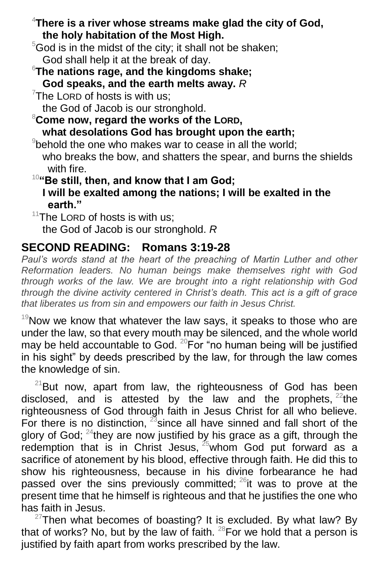<sup>4</sup>**There is a river whose streams make glad the city of God, the holy habitation of the Most High.**

 $5$ God is in the midst of the city; it shall not be shaken; God shall help it at the break of day.

<sup>6</sup>**The nations rage, and the kingdoms shake; God speaks, and the earth melts away.** *R*

 $7$ The LORD of hosts is with us;

the God of Jacob is our stronghold.

<sup>8</sup>**Come now, regard the works of the LORD, what desolations God has brought upon the earth;**

 $9$ behold the one who makes war to cease in all the world; who breaks the bow, and shatters the spear, and burns the shields with fire.

<sup>10</sup>**"Be still, then, and know that I am God; I will be exalted among the nations; I will be exalted in the earth."**

 $11$ The LORD of hosts is with us; the God of Jacob is our stronghold. *R*

## **SECOND READING: Romans 3:19-28**

Paul's words stand at the heart of the preaching of Martin Luther and other *Reformation leaders. No human beings make themselves right with God through works of the law. We are brought into a right relationship with God through the divine activity centered in Christ's death. This act is a gift of grace that liberates us from sin and empowers our faith in Jesus Christ.*

 $19$ Now we know that whatever the law says, it speaks to those who are under the law, so that every mouth may be silenced, and the whole world may be held accountable to God.  $^{20}$ For "no human being will be justified in his sight" by deeds prescribed by the law, for through the law comes the knowledge of sin.

 $21$ But now, apart from law, the righteousness of God has been disclosed, and is attested by the law and the prophets,  $22$  the righteousness of God through faith in Jesus Christ for all who believe. For there is no distinction,  $^{23}$  since all have sinned and fall short of the glory of God;  $24$ they are now justified by his grace as a gift, through the redemption that is in Christ Jesus, <sup>25</sup>whom God put forward as a sacrifice of atonement by his blood, effective through faith. He did this to show his righteousness, because in his divine forbearance he had passed over the sins previously committed;  $^{26}$ it was to prove at the present time that he himself is righteous and that he justifies the one who has faith in Jesus.

 $27$ Then what becomes of boasting? It is excluded. By what law? By that of works? No, but by the law of faith.  $^{28}$  For we hold that a person is justified by faith apart from works prescribed by the law.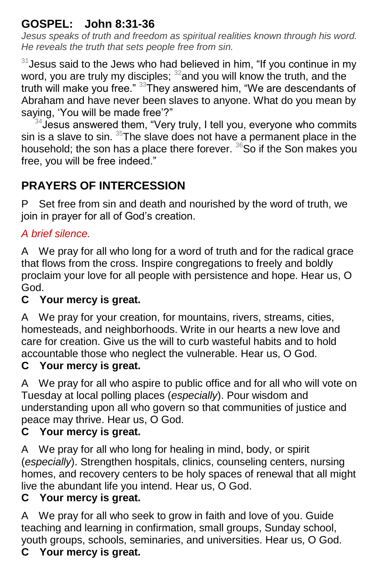## **GOSPEL: John 8:31-36**

*Jesus speaks of truth and freedom as spiritual realities known through his word. He reveals the truth that sets people free from sin.*

 $31$  Jesus said to the Jews who had believed in him, "If you continue in my word, you are truly my disciples;  $32$  and you will know the truth, and the truth will make you free." <sup>33</sup>They answered him, "We are descendants of Abraham and have never been slaves to anyone. What do you mean by saying, 'You will be made free'?"

 $34$  Jesus answered them, "Very truly, I tell you, everyone who commits sin is a slave to sin.  $35$ The slave does not have a permanent place in the household; the son has a place there forever.  ${}^{36}$ So if the Son makes you free, you will be free indeed."

# **PRAYERS OF INTERCESSION**

P Set free from sin and death and nourished by the word of truth, we join in prayer for all of God's creation.

## *A brief silence.*

A We pray for all who long for a word of truth and for the radical grace that flows from the cross. Inspire congregations to freely and boldly proclaim your love for all people with persistence and hope. Hear us, O God.

## **C Your mercy is great.**

A We pray for your creation, for mountains, rivers, streams, cities, homesteads, and neighborhoods. Write in our hearts a new love and care for creation. Give us the will to curb wasteful habits and to hold accountable those who neglect the vulnerable. Hear us, O God.

## **C Your mercy is great.**

A We pray for all who aspire to public office and for all who will vote on Tuesday at local polling places (*especially*). Pour wisdom and understanding upon all who govern so that communities of justice and peace may thrive. Hear us, O God.

#### **C Your mercy is great.**

A We pray for all who long for healing in mind, body, or spirit (*especially*). Strengthen hospitals, clinics, counseling centers, nursing homes, and recovery centers to be holy spaces of renewal that all might live the abundant life you intend. Hear us, O God.

#### **C Your mercy is great.**

A We pray for all who seek to grow in faith and love of you. Guide teaching and learning in confirmation, small groups, Sunday school, youth groups, schools, seminaries, and universities. Hear us, O God.

## **C Your mercy is great.**